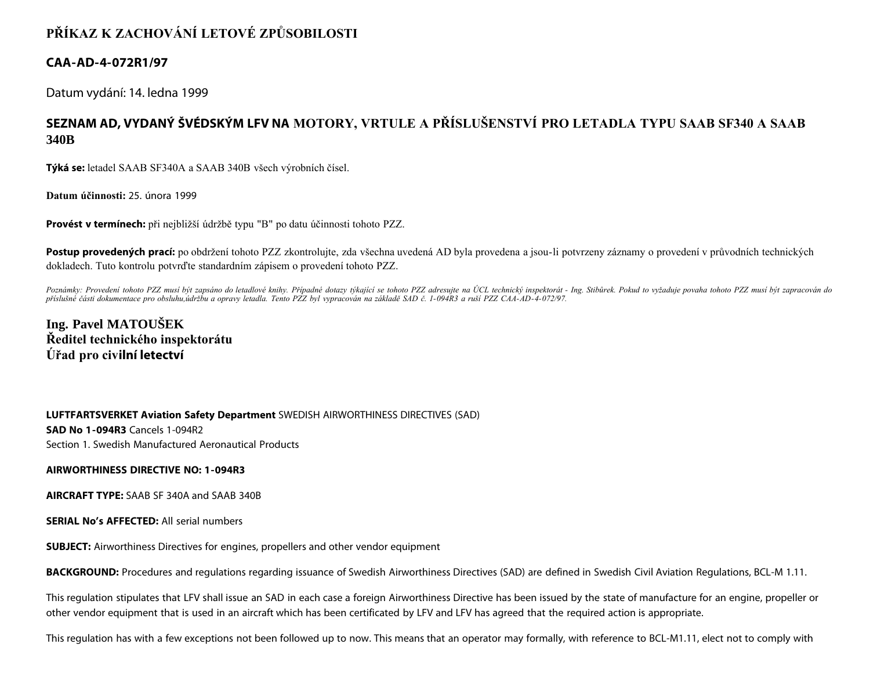# **PŘÍKAZ K ZACHOVÁNÍ LETOVÉ ZPŮSOBILOSTI**

### **CAA-AD-4-072R1/97**

Datum vydání: 14. ledna 1999

## **SEZNAM AD, VYDANÝ ŠVÉDSKÝM LFV NA MOTORY, VRTULE A PŘÍSLUŠENSTVÍ PRO LETADLA TYPU SAAB SF340 A SAAB 340B**

**Týká se:** letadel SAAB SF340A a SAAB 340B všech výrobních čísel.

**Datum účinnosti:** 25. února 1999

**Provést v termínech:** při nejbližší údržbě typu "B" po datu účinnosti tohoto PZZ.

Postup provedených prací: po obdržení tohoto PZZ zkontrolujte, zda všechna uvedená AD byla provedena a jsou-li potvrzeny záznamy o provedení v průvodních technických dokladech. Tuto kontrolu potvrďte standardním zápisem o provedení tohoto PZZ.

Poznámky: Provedení tohoto PZZ musí být zapsáno do letadlové knihy. Případné dotazy týkající se tohoto PZZ adresujte na ÚCL technický inspektorát - Ing. Stibůrek. Pokud to vyžaduje povaha tohoto PZZ musí být zapracován do *příslušné části dokumentace pro obsluhu,údržbu a opravy letadla. Tento PZZ byl vypracován na základě SAD č. 1-094R3 a ruší PZZ CAA-AD-4-072/97.*

### **Ing. Pavel MATOUŠEK Ředitel technického inspektorátu Úřad pro civilní letectví**

**LUFTFARTSVERKET Aviation Safety Department** SWEDISH AIRWORTHINESS DIRECTIVES (SAD) **SAD No 1-094R3** Cancels 1-094R2 Section 1. Swedish Manufactured Aeronautical Products

#### **AIRWORTHINESS DIRECTIVE NO: 1-094R3**

**AIRCRAFT TYPE:** SAAB SF 340A and SAAB 340B

**SERIAL No's AFFECTED:** All serial numbers

**SUBJECT:** Airworthiness Directives for engines, propellers and other vendor equipment

**BACKGROUND:** Procedures and regulations regarding issuance of Swedish Airworthiness Directives (SAD) are defined in Swedish Civil Aviation Regulations, BCL-M 1.11.

This regulation stipulates that LFV shall issue an SAD in each case a foreign Airworthiness Directive has been issued by the state of manufacture for an engine, propeller or other vendor equipment that is used in an aircraft which has been certificated by LFV and LFV has agreed that the required action is appropriate.

This regulation has with a few exceptions not been followed up to now. This means that an operator may formally, with reference to BCL-M1.11, elect not to comply with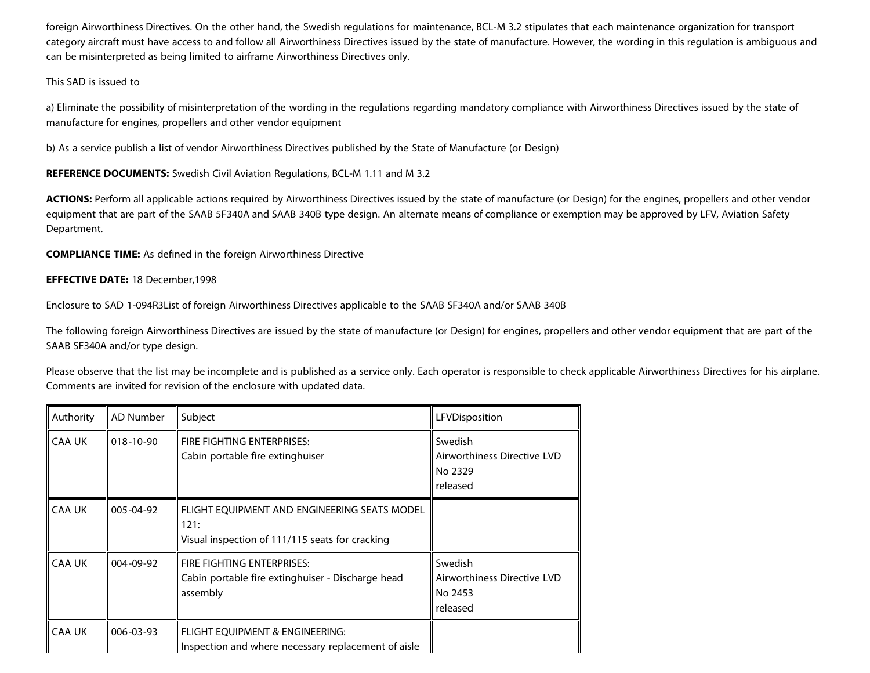foreign Airworthiness Directives. On the other hand, the Swedish regulations for maintenance, BCL-M 3.2 stipulates that each maintenance organization for transport category aircraft must have access to and follow all Airworthiness Directives issued by the state of manufacture. However, the wording in this regulation is ambiguous and can be misinterpreted as being limited to airframe Airworthiness Directives only.

#### This SAD is issued to

a) Eliminate the possibility of misinterpretation of the wording in the regulations regarding mandatory compliance with Airworthiness Directives issued by the state of manufacture for engines, propellers and other vendor equipment

b) As a service publish a list of vendor Airworthiness Directives published by the State of Manufacture (or Design)

**REFERENCE DOCUMENTS:** Swedish Civil Aviation Regulations, BCL-M 1.11 and M 3.2

ACTIONS: Perform all applicable actions required by Airworthiness Directives issued by the state of manufacture (or Design) for the engines, propellers and other vendor equipment that are part of the SAAB 5F340A and SAAB 340B type design. An alternate means of compliance or exemption may be approved by LFV, Aviation Safety Department.

**COMPLIANCE TIME:** As defined in the foreign Airworthiness Directive

### **EFFECTIVE DATE:** 18 December,1998

Enclosure to SAD 1-094R3List of foreign Airworthiness Directives applicable to the SAAB SF340A and/or SAAB 340B

The following foreign Airworthiness Directives are issued by the state of manufacture (or Design) for engines, propellers and other vendor equipment that are part of the SAAB SF340A and/or type design.

Please observe that the list may be incomplete and is published as a service only. Each operator is responsible to check applicable Airworthiness Directives for his airplane. Comments are invited for revision of the enclosure with updated data.

| Authority     | AD Number       | Subject                                                                                                 | LFVDisposition                                                |
|---------------|-----------------|---------------------------------------------------------------------------------------------------------|---------------------------------------------------------------|
| <b>CAA UK</b> | $018 - 10 - 90$ | FIRE FIGHTING ENTERPRISES:<br>Cabin portable fire extinghuiser                                          | Swedish<br>Airworthiness Directive LVD<br>No 2329<br>released |
| CAA UK        | $005 - 04 - 92$ | FLIGHT EQUIPMENT AND ENGINEERING SEATS MODEL<br>121:<br>Visual inspection of 111/115 seats for cracking |                                                               |
| CAA UK        | $004 - 09 - 92$ | FIRE FIGHTING ENTERPRISES:<br>Cabin portable fire extinghuiser - Discharge head<br>assembly             | Swedish<br>Airworthiness Directive LVD<br>No 2453<br>released |
| <b>CAA UK</b> | 006-03-93       | FLIGHT EQUIPMENT & ENGINEERING:<br>Inspection and where necessary replacement of aisle                  |                                                               |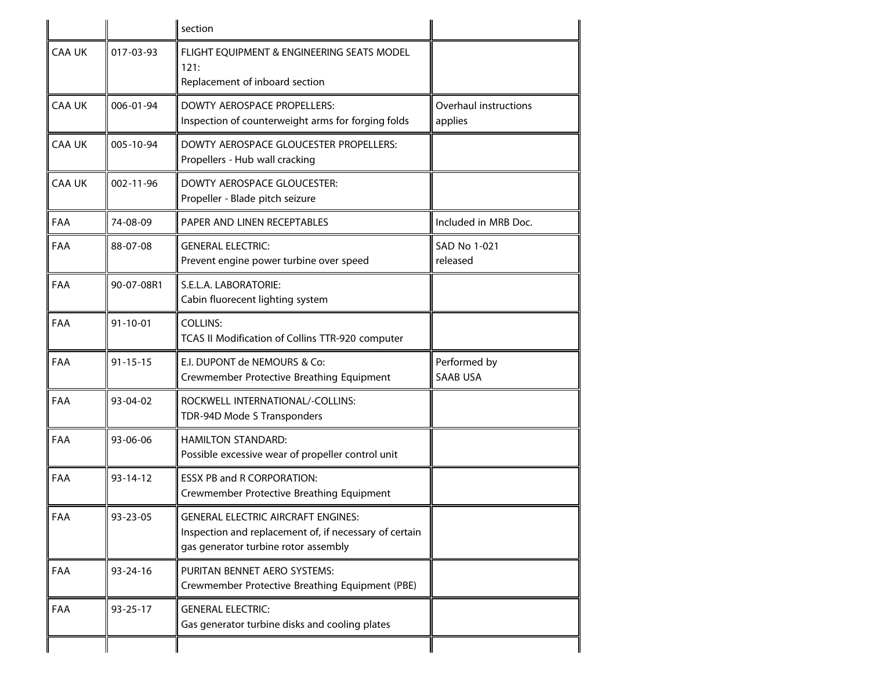|               |                 | section                                                                                                                                     |                                  |
|---------------|-----------------|---------------------------------------------------------------------------------------------------------------------------------------------|----------------------------------|
| <b>CAA UK</b> | 017-03-93       | FLIGHT EQUIPMENT & ENGINEERING SEATS MODEL<br>121:<br>Replacement of inboard section                                                        |                                  |
| <b>CAA UK</b> | 006-01-94       | DOWTY AEROSPACE PROPELLERS:<br>Inspection of counterweight arms for forging folds                                                           | Overhaul instructions<br>applies |
| <b>CAA UK</b> | 005-10-94       | DOWTY AEROSPACE GLOUCESTER PROPELLERS:<br>Propellers - Hub wall cracking                                                                    |                                  |
| <b>CAA UK</b> | $002 - 11 - 96$ | <b>DOWTY AEROSPACE GLOUCESTER:</b><br>Propeller - Blade pitch seizure                                                                       |                                  |
| FAA           | 74-08-09        | PAPER AND LINEN RECEPTABLES                                                                                                                 | Included in MRB Doc.             |
| FAA           | 88-07-08        | <b>GENERAL ELECTRIC:</b><br>Prevent engine power turbine over speed                                                                         | SAD No 1-021<br>released         |
| FAA           | 90-07-08R1      | S.E.L.A. LABORATORIE:<br>Cabin fluorecent lighting system                                                                                   |                                  |
| FAA           | $91 - 10 - 01$  | <b>COLLINS:</b><br>TCAS II Modification of Collins TTR-920 computer                                                                         |                                  |
| FAA           | $91 - 15 - 15$  | E.I. DUPONT de NEMOURS & Co:<br>Crewmember Protective Breathing Equipment                                                                   | Performed by<br><b>SAAB USA</b>  |
| FAA           | 93-04-02        | ROCKWELL INTERNATIONAL/-COLLINS:<br>TDR-94D Mode S Transponders                                                                             |                                  |
| FAA           | 93-06-06        | <b>HAMILTON STANDARD:</b><br>Possible excessive wear of propeller control unit                                                              |                                  |
| FAA           | $93 - 14 - 12$  | <b>ESSX PB and R CORPORATION:</b><br>Crewmember Protective Breathing Equipment                                                              |                                  |
| FAA           | 93-23-05        | <b>GENERAL ELECTRIC AIRCRAFT ENGINES:</b><br>Inspection and replacement of, if necessary of certain<br>gas generator turbine rotor assembly |                                  |
| FAA           | 93-24-16        | PURITAN BENNET AERO SYSTEMS:<br>Crewmember Protective Breathing Equipment (PBE)                                                             |                                  |
| FAA           | $93 - 25 - 17$  | <b>GENERAL ELECTRIC:</b><br>Gas generator turbine disks and cooling plates                                                                  |                                  |